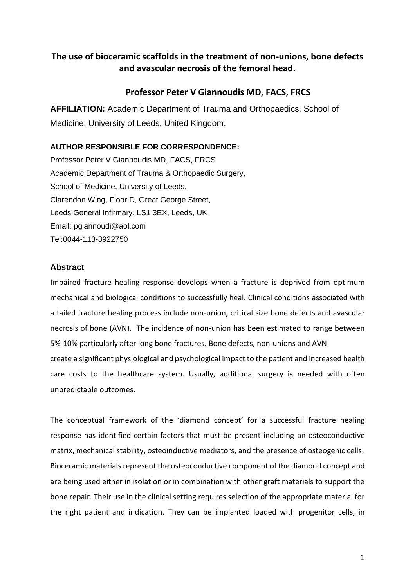## **The use of bioceramic scaffolds in the treatment of non-unions, bone defects and avascular necrosis of the femoral head.**

## **Professor Peter V Giannoudis MD, FACS, FRCS**

**AFFILIATION:** Academic Department of Trauma and Orthopaedics, School of Medicine, University of Leeds, United Kingdom.

## **AUTHOR RESPONSIBLE FOR CORRESPONDENCE:**

Professor Peter V Giannoudis MD, FACS, FRCS Academic Department of Trauma & Orthopaedic Surgery, School of Medicine, University of Leeds, Clarendon Wing, Floor D, Great George Street, Leeds General Infirmary, LS1 3EX, Leeds, UK Email: pgiannoudi@aol.com Tel:0044-113-3922750

## **Abstract**

Impaired fracture healing response develops when a fracture is deprived from optimum mechanical and biological conditions to successfully heal. Clinical conditions associated with a failed fracture healing process include non-union, critical size bone defects and avascular necrosis of bone (AVN). The incidence of non-union has been estimated to range between 5%-10% particularly after long bone fractures. Bone defects, non-unions and AVN create a significant physiological and psychological impact to the patient and increased health care costs to the healthcare system. Usually, additional surgery is needed with often unpredictable outcomes.

The conceptual framework of the 'diamond concept' for a successful fracture healing response has identified certain factors that must be present including an osteoconductive matrix, mechanical stability, osteoinductive mediators, and the presence of osteogenic cells. Bioceramic materials represent the osteoconductive component of the diamond concept and are being used either in isolation or in combination with other graft materials to support the bone repair. Their use in the clinical setting requires selection of the appropriate material for the right patient and indication. They can be implanted loaded with progenitor cells, in